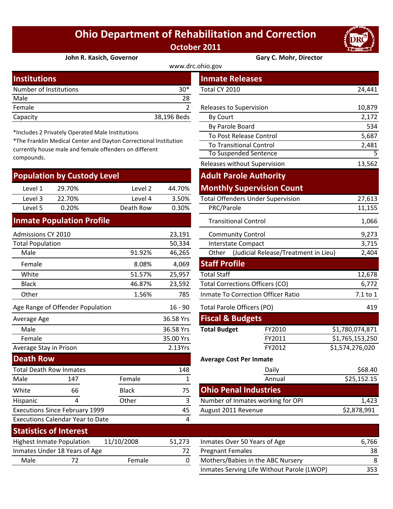## **Ohio Department of Rehabilitation and Correction October 2011**



**John R. Kasich, Governor Gary C. Mohr, Director**

| www.drc.ohio.gov       |             |                                |        |  |  |
|------------------------|-------------|--------------------------------|--------|--|--|
| <b>Institutions</b>    |             | <b>Inmate Releases</b>         |        |  |  |
| Number of Institutions | $30*$       | Total CY 2010                  | 24,441 |  |  |
| Male                   | 28          |                                |        |  |  |
| Female                 |             | <b>Releases to Supervision</b> | 10,879 |  |  |
| Capacity               | 38,196 Beds | By Court                       | 2,172  |  |  |

\*Includes 2 Privately Operated Male Institutions

\*The Franklin Medical Center and Dayton Correctional Institution currently house male and female offenders on different compounds.

| <b>Population by Custody Level</b> |        |           |        |
|------------------------------------|--------|-----------|--------|
| Level 1                            | 29.70% | Level 2   | 44.70% |
| Level 3                            | 22.70% | Level 4   | 3.50%  |
| Level 5                            | 0.20%  | Death Row | 0.30%  |
|                                    |        |           |        |

## **Inmate Population Profile**

Executions Calendar Year to Date

Executions Since February 1999

| Admissions CY 2010               |        | 23,191    | <b>Community Control</b>               |                                      |                 |
|----------------------------------|--------|-----------|----------------------------------------|--------------------------------------|-----------------|
| <b>Total Population</b>          |        | 50,334    |                                        | Interstate Compact                   | 3,715           |
| Male                             | 91.92% | 46,265    | Other                                  | (Judicial Release/Treatment in Lieu) | 2,404           |
| Female                           | 8.08%  | 4,069     | <b>Staff Profile</b>                   |                                      |                 |
| White                            | 51.57% | 25,957    | <b>Total Staff</b>                     |                                      | 12,678          |
| <b>Black</b>                     | 46.87% | 23,592    | <b>Total Corrections Officers (CO)</b> | 6,772                                |                 |
| Other                            | 1.56%  | 785       | Inmate To Correction Officer Ratio     | 7.1 to 1                             |                 |
| Age Range of Offender Population |        | $16 - 90$ |                                        | Total Parole Officers (PO)           | 419             |
| Average Age                      |        | 36.58 Yrs | <b>Fiscal &amp; Budgets</b>            |                                      |                 |
| Male                             |        | 36.58 Yrs | <b>Total Budget</b>                    | FY2010                               | \$1,780,074,871 |
| Female                           |        | 35.00 Yrs |                                        | FY2011                               | \$1,765,153,250 |
| Average Stay in Prison           |        | 2.13Yrs   |                                        | FY2012                               | \$1,574,276,020 |
| <b>Death Row</b>                 |        |           |                                        | <b>Average Cost Per Inmate</b>       |                 |
| <b>Total Death Row Inmates</b>   |        | 148       |                                        | Daily                                | \$68.40         |
| Male<br>147                      | Female |           |                                        | Annual                               | \$25,152.15     |

| stitutions                                                                                                          |              |              | <b>Inmate Releases</b>                   |                                      |                         |
|---------------------------------------------------------------------------------------------------------------------|--------------|--------------|------------------------------------------|--------------------------------------|-------------------------|
| mber of Institutions                                                                                                |              | $30*$        | Total CY 2010                            |                                      | 24,441                  |
| le                                                                                                                  |              | 28           |                                          |                                      |                         |
| nale                                                                                                                |              | 2            | Releases to Supervision                  |                                      | 10,879                  |
| acity                                                                                                               |              | 38,196 Beds  | By Court                                 |                                      | 2,172                   |
|                                                                                                                     |              |              | By Parole Board                          |                                      | 534                     |
| cludes 2 Privately Operated Male Institutions                                                                       |              |              | To Post Release Control                  |                                      | 5,687                   |
| e Franklin Medical Center and Dayton Correctional Institution<br>ently house male and female offenders on different |              |              | <b>To Transitional Control</b>           |                                      | 2,481                   |
| pounds.                                                                                                             |              |              | To Suspended Sentence                    |                                      | $\overline{5}$          |
|                                                                                                                     |              |              | Releases without Supervision             |                                      | 13,562                  |
| pulation by Custody Level                                                                                           |              |              | <b>Adult Parole Authority</b>            |                                      |                         |
| 29.70%<br>Level 1                                                                                                   | Level 2      | 44.70%       | <b>Monthly Supervision Count</b>         |                                      |                         |
| Level 3<br>22.70%                                                                                                   | Level 4      | 3.50%        | <b>Total Offenders Under Supervision</b> |                                      | 27,613                  |
| Level 5<br>0.20%                                                                                                    | Death Row    | 0.30%        | PRC/Parole                               |                                      | 11,155                  |
| mate Population Profile                                                                                             |              |              | <b>Transitional Control</b>              |                                      | 1,066                   |
| nissions CY 2010                                                                                                    |              | 23,191       | <b>Community Control</b>                 |                                      | 9,273                   |
| al Population                                                                                                       |              | 50,334       | <b>Interstate Compact</b>                |                                      | 3,715                   |
| Male                                                                                                                | 91.92%       | 46,265       | Other                                    | (Judicial Release/Treatment in Lieu) | 2,404                   |
| Female                                                                                                              | 8.08%        | 4,069        | <b>Staff Profile</b>                     |                                      |                         |
| White                                                                                                               | 51.57%       | 25,957       | <b>Total Staff</b>                       |                                      | 12,678                  |
| <b>Black</b>                                                                                                        | 46.87%       | 23,592       | <b>Total Corrections Officers (CO)</b>   |                                      | 6,772                   |
| <b>Other</b>                                                                                                        | 1.56%        | 785          | Inmate To Correction Officer Ratio       | 7.1 to 1                             |                         |
| Range of Offender Population                                                                                        |              | $16 - 90$    | <b>Total Parole Officers (PO)</b>        |                                      | 419                     |
| erage Age                                                                                                           |              | 36.58 Yrs    | <b>Fiscal &amp; Budgets</b>              |                                      |                         |
| Male                                                                                                                |              | 36.58 Yrs    | <b>Total Budget</b>                      | FY2010                               | \$1,780,074,871         |
| Female                                                                                                              |              | 35.00 Yrs    |                                          | FY2011                               | \$1,765,153,250         |
| rage Stay in Prison                                                                                                 |              | 2.13Yrs      |                                          | FY2012                               | \$1,574,276,020         |
| ath Row                                                                                                             |              |              | <b>Average Cost Per Inmate</b>           |                                      |                         |
| al Death Row Inmates                                                                                                |              | 148          |                                          | Daily                                | \$68.40                 |
| le<br>147                                                                                                           | Female       | $\mathbf{1}$ |                                          | Annual                               | $\overline{$}25,152.15$ |
| ite<br>66                                                                                                           | <b>Black</b> | 75           | <b>Ohio Penal Industries</b>             |                                      |                         |
| 4<br>panic                                                                                                          | Other        | $\mathbf{3}$ | Number of Inmates working for OPI        |                                      | 1,423                   |
| cutions Since February 1999                                                                                         |              | 45           | August 2011 Revenue                      |                                      | \$2,878,991             |
| cutions Calendar Year to Date                                                                                       |              | 4            |                                          |                                      |                         |
| atistics of Interest                                                                                                |              |              |                                          |                                      |                         |

| <b>Statistics of Interest</b>    |                               |            |        |                              |
|----------------------------------|-------------------------------|------------|--------|------------------------------|
| <b>Highest Inmate Population</b> |                               | 11/10/2008 | 51.273 | Inmates Over 50 Years of Age |
|                                  | Inmates Under 18 Years of Age |            | 72.    | <b>Pregnant Females</b>      |
| Male                             |                               | Female     |        | Mothers/Babies in the ABC No |
|                                  |                               |            |        |                              |

White 66 Black 75 Hispanic 4 Other 3

| JIAIIJIILJ VI IIILCI CJI                       |                               |               |                              |                                            |     |
|------------------------------------------------|-------------------------------|---------------|------------------------------|--------------------------------------------|-----|
| 11/10/2008<br><b>Highest Inmate Population</b> |                               | 51.273        | Inmates Over 50 Years of Age | 6,766                                      |     |
|                                                | Inmates Under 18 Years of Age |               |                              | <b>Pregnant Females</b>                    | 38  |
| Male                                           |                               | <b>Female</b> |                              | Mothers/Babies in the ABC Nursery          | 8   |
|                                                |                               |               |                              | Inmates Serving Life Without Parole (LWOP) | 353 |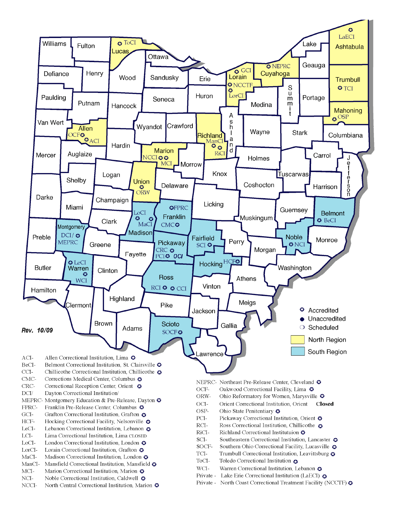